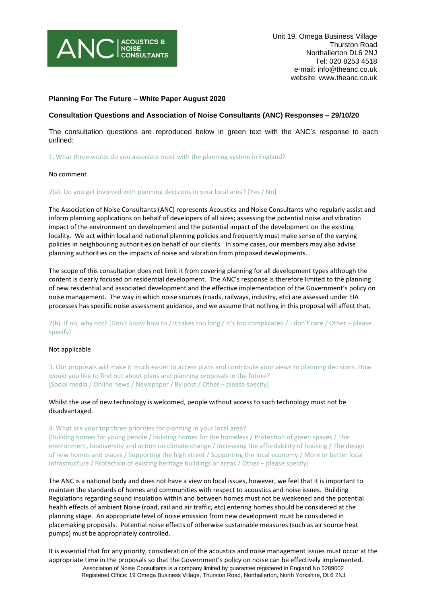

# **Planning For The Future – White Paper August 2020**

# **Consultation Questions and Association of Noise Consultants (ANC) Responses – 29/10/20**

The consultation questions are reproduced below in green text with the ANC's response to each unlined:

1. What three words do you associate most with the planning system in England?

### No comment

2(a). Do you get involved with planning decisions in your local area? [Yes / No]

The Association of Noise Consultants (ANC) represents Acoustics and Noise Consultants who regularly assist and inform planning applications on behalf of developers of all sizes; assessing the potential noise and vibration impact of the environment on development and the potential impact of the development on the existing locality. We act within local and national planning policies and frequently must make sense of the varying policies in neighbouring authorities on behalf of our clients. In some cases, our members may also advise planning authorities on the impacts of noise and vibration from proposed developments.

The scope of this consultation does not limit it from covering planning for all development types although the content is clearly focused on residential development. The ANC's response is therefore limited to the planning of new residential and associated development and the effective implementation of the Government's policy on noise management. The way in which noise sources (roads, railways, industry, etc) are assessed under EIA processes has specific noise assessment guidance, and we assume that nothing in this proposal will affect that.

2(b). If no, why not? [Don't know how to / It takes too long / It's too complicated / I don't care / Other – please specify]

## Not applicable

3. Our proposals will make it much easier to access plans and contribute your views to planning decisions. How would you like to find out about plans and planning proposals in the future? [Social media / Online news / Newspaper / By post / Other – please specify]

# Whilst the use of new technology is welcomed, people without access to such technology must not be disadvantaged.

4. What are your top three priorities for planning in your local area? [Building homes for young people / building homes for the homeless / Protection of green spaces / The environment, biodiversity and action on climate change / Increasing the affordability of housing / The design of new homes and places / Supporting the high street / Supporting the local economy / More or better local infrastructure / Protection of existing heritage buildings or areas / Other – please specify]

The ANC is a national body and does not have a view on local issues, however, we feel that it is important to maintain the standards of homes and communities with respect to acoustics and noise issues. Building Regulations regarding sound insulation within and between homes must not be weakened and the potential health effects of ambient Noise (road, rail and air traffic, etc) entering homes should be considered at the planning stage. An appropriate level of noise emission from new development must be considered in placemaking proposals. Potential noise effects of otherwise sustainable measures (such as air source heat pumps) must be appropriately controlled.

It is essential that for any priority, consideration of the acoustics and noise management issues must occur at the appropriate time in the proposals so that the Government's policy on noise can be effectively implemented.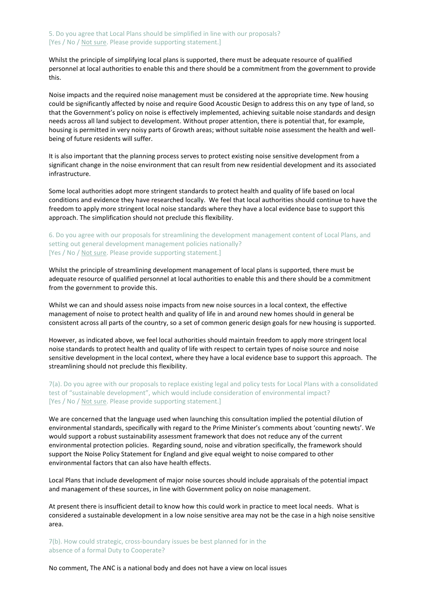Whilst the principle of simplifying local plans is supported, there must be adequate resource of qualified personnel at local authorities to enable this and there should be a commitment from the government to provide this.

Noise impacts and the required noise management must be considered at the appropriate time. New housing could be significantly affected by noise and require Good Acoustic Design to address this on any type of land, so that the Government's policy on noise is effectively implemented, achieving suitable noise standards and design needs across all land subject to development. Without proper attention, there is potential that, for example, housing is permitted in very noisy parts of Growth areas; without suitable noise assessment the health and wellbeing of future residents will suffer.

It is also important that the planning process serves to protect existing noise sensitive development from a significant change in the noise environment that can result from new residential development and its associated infrastructure.

Some local authorities adopt more stringent standards to protect health and quality of life based on local conditions and evidence they have researched locally. We feel that local authorities should continue to have the freedom to apply more stringent local noise standards where they have a local evidence base to support this approach. The simplification should not preclude this flexibility.

6. Do you agree with our proposals for streamlining the development management content of Local Plans, and setting out general development management policies nationally? [Yes / No / Not sure. Please provide supporting statement.]

Whilst the principle of streamlining development management of local plans is supported, there must be adequate resource of qualified personnel at local authorities to enable this and there should be a commitment from the government to provide this.

Whilst we can and should assess noise impacts from new noise sources in a local context, the effective management of noise to protect health and quality of life in and around new homes should in general be consistent across all parts of the country, so a set of common generic design goals for new housing is supported.

However, as indicated above, we feel local authorities should maintain freedom to apply more stringent local noise standards to protect health and quality of life with respect to certain types of noise source and noise sensitive development in the local context, where they have a local evidence base to support this approach. The streamlining should not preclude this flexibility.

7(a). Do you agree with our proposals to replace existing legal and policy tests for Local Plans with a consolidated test of "sustainable development", which would include consideration of environmental impact? [Yes / No / Not sure. Please provide supporting statement.]

We are concerned that the language used when launching this consultation implied the potential dilution of environmental standards, specifically with regard to the Prime Minister's comments about 'counting newts'. We would support a robust sustainability assessment framework that does not reduce any of the current environmental protection policies. Regarding sound, noise and vibration specifically, the framework should support the Noise Policy Statement for England and give equal weight to noise compared to other environmental factors that can also have health effects.

Local Plans that include development of major noise sources should include appraisals of the potential impact and management of these sources, in line with Government policy on noise management.

At present there is insufficient detail to know how this could work in practice to meet local needs. What is considered a sustainable development in a low noise sensitive area may not be the case in a high noise sensitive area.

7(b). How could strategic, cross-boundary issues be best planned for in the absence of a formal Duty to Cooperate?

No comment, The ANC is a national body and does not have a view on local issues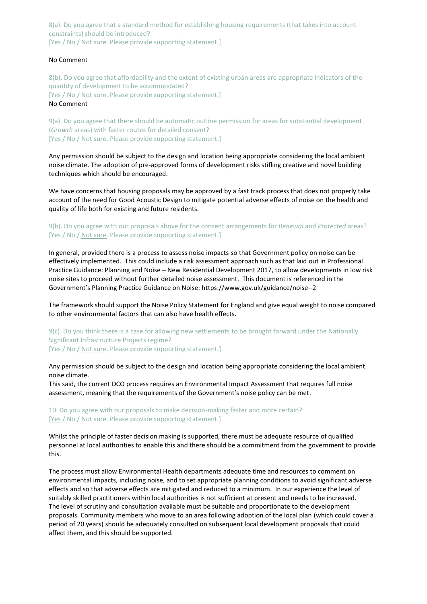8(a). Do you agree that a standard method for establishing housing requirements (that takes into account constraints) should be introduced? [Yes / No / Not sure. Please provide supporting statement.]

## No Comment

8(b). Do you agree that affordability and the extent of existing urban areas are appropriate indicators of the quantity of development to be accommodated? [Yes / No / Not sure. Please provide supporting statement.] No Comment

9(a). Do you agree that there should be automatic outline permission for areas for substantial development (*Growth* areas) with faster routes for detailed consent? [Yes / No / Not sure. Please provide supporting statement.]

Any permission should be subject to the design and location being appropriate considering the local ambient noise climate. The adoption of pre-approved forms of development risks stifling creative and novel building techniques which should be encouraged.

We have concerns that housing proposals may be approved by a fast track process that does not properly take account of the need for Good Acoustic Design to mitigate potential adverse effects of noise on the health and quality of life both for existing and future residents.

# 9(b). Do you agree with our proposals above for the consent arrangements for *Renewal* and *Protected* areas? [Yes / No / Not sure. Please provide supporting statement.]

In general, provided there is a process to assess noise impacts so that Government policy on noise can be effectively implemented. This could include a risk assessment approach such as that laid out in Professional Practice Guidance: Planning and Noise – New Residential Development 2017, to allow developments in low risk noise sites to proceed without further detailed noise assessment. This document is referenced in the Government's Planning Practice Guidance on Noise:<https://www.gov.uk/guidance/noise--2>

The framework should support the Noise Policy Statement for England and give equal weight to noise compared to other environmental factors that can also have health effects.

9(c). Do you think there is a case for allowing new settlements to be brought forward under the Nationally Significant Infrastructure Projects regime? [Yes / No / Not sure. Please provide supporting statement.]

Any permission should be subject to the design and location being appropriate considering the local ambient noise climate.

This said, the current DCO process requires an Environmental Impact Assessment that requires full noise assessment, meaning that the requirements of the Government's noise policy can be met.

10. Do you agree with our proposals to make decision-making faster and more certain? [Yes / No / Not sure. Please provide supporting statement.]

Whilst the principle of faster decision making is supported, there must be adequate resource of qualified personnel at local authorities to enable this and there should be a commitment from the government to provide this.

The process must allow Environmental Health departments adequate time and resources to comment on environmental impacts, including noise, and to set appropriate planning conditions to avoid significant adverse effects and so that adverse effects are mitigated and reduced to a minimum. In our experience the level of suitably skilled practitioners within local authorities is not sufficient at present and needs to be increased. The level of scrutiny and consultation available must be suitable and proportionate to the development proposals. Community members who move to an area following adoption of the local plan (which could cover a period of 20 years) should be adequately consulted on subsequent local development proposals that could affect them, and this should be supported.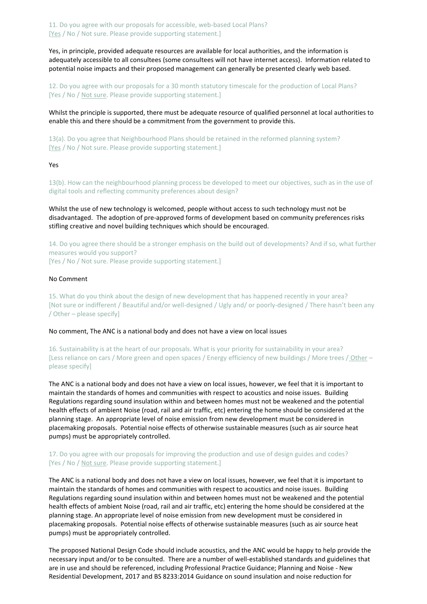11. Do you agree with our proposals for accessible, web-based Local Plans? [Yes / No / Not sure. Please provide supporting statement.]

Yes, in principle, provided adequate resources are available for local authorities, and the information is adequately accessible to all consultees (some consultees will not have internet access). Information related to potential noise impacts and their proposed management can generally be presented clearly web based.

12. Do you agree with our proposals for a 30 month statutory timescale for the production of Local Plans? [Yes / No / Not sure. Please provide supporting statement.]

Whilst the principle is supported, there must be adequate resource of qualified personnel at local authorities to enable this and there should be a commitment from the government to provide this.

13(a). Do you agree that Neighbourhood Plans should be retained in the reformed planning system? [Yes / No / Not sure. Please provide supporting statement.]

Yes

13(b). How can the neighbourhood planning process be developed to meet our objectives, such as in the use of digital tools and reflecting community preferences about design?

Whilst the use of new technology is welcomed, people without access to such technology must not be disadvantaged. The adoption of pre-approved forms of development based on community preferences risks stifling creative and novel building techniques which should be encouraged.

14. Do you agree there should be a stronger emphasis on the build out of developments? And if so, what further measures would you support? [Yes / No / Not sure. Please provide supporting statement.]

# No Comment

15. What do you think about the design of new development that has happened recently in your area? [Not sure or indifferent / Beautiful and/or well-designed / Ugly and/ or poorly-designed / There hasn't been any / Other – please specify]

No comment, The ANC is a national body and does not have a view on local issues

16. Sustainability is at the heart of our proposals. What is your priority for sustainability in your area? [Less reliance on cars / More green and open spaces / Energy efficiency of new buildings / More trees / Other – please specify]

The ANC is a national body and does not have a view on local issues, however, we feel that it is important to maintain the standards of homes and communities with respect to acoustics and noise issues. Building Regulations regarding sound insulation within and between homes must not be weakened and the potential health effects of ambient Noise (road, rail and air traffic, etc) entering the home should be considered at the planning stage. An appropriate level of noise emission from new development must be considered in placemaking proposals. Potential noise effects of otherwise sustainable measures (such as air source heat pumps) must be appropriately controlled.

# 17. Do you agree with our proposals for improving the production and use of design guides and codes? [Yes / No / Not sure. Please provide supporting statement.]

The ANC is a national body and does not have a view on local issues, however, we feel that it is important to maintain the standards of homes and communities with respect to acoustics and noise issues. Building Regulations regarding sound insulation within and between homes must not be weakened and the potential health effects of ambient Noise (road, rail and air traffic, etc) entering the home should be considered at the planning stage. An appropriate level of noise emission from new development must be considered in placemaking proposals. Potential noise effects of otherwise sustainable measures (such as air source heat pumps) must be appropriately controlled.

The proposed National Design Code should include acoustics, and the ANC would be happy to help provide the necessary input and/or to be consulted. There are a number of well-established standards and guidelines that are in use and should be referenced, including Professional Practice Guidance; Planning and Noise - New Residential Development, 2017 and BS 8233:2014 Guidance on sound insulation and noise reduction for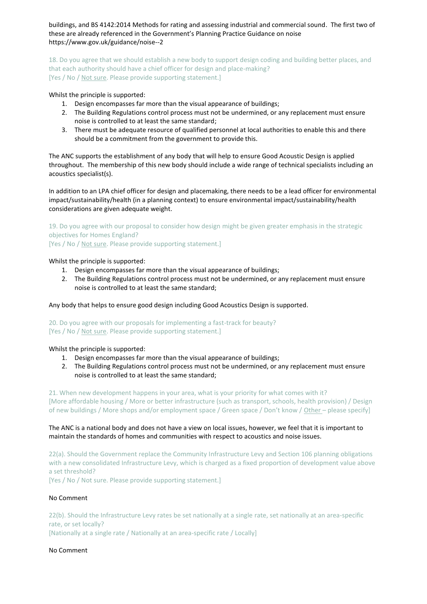buildings, and BS 4142:2014 Methods for rating and assessing industrial and commercial sound. The first two of these are already referenced in the Government's Planning Practice Guidance on noise <https://www.gov.uk/guidance/noise--2>

18. Do you agree that we should establish a new body to support design coding and building better places, and that each authority should have a chief officer for design and place-making? [Yes / No / Not sure. Please provide supporting statement.]

Whilst the principle is supported:

- 1. Design encompasses far more than the visual appearance of buildings;
- 2. The Building Regulations control process must not be undermined, or any replacement must ensure noise is controlled to at least the same standard;
- 3. There must be adequate resource of qualified personnel at local authorities to enable this and there should be a commitment from the government to provide this.

The ANC supports the establishment of any body that will help to ensure Good Acoustic Design is applied throughout. The membership of this new body should include a wide range of technical specialists including an acoustics specialist(s).

In addition to an LPA chief officer for design and placemaking, there needs to be a lead officer for environmental impact/sustainability/health (in a planning context) to ensure environmental impact/sustainability/health considerations are given adequate weight.

19. Do you agree with our proposal to consider how design might be given greater emphasis in the strategic objectives for Homes England?

[Yes / No / Not sure. Please provide supporting statement.]

Whilst the principle is supported:

- 1. Design encompasses far more than the visual appearance of buildings;
- 2. The Building Regulations control process must not be undermined, or any replacement must ensure noise is controlled to at least the same standard;

Any body that helps to ensure good design including Good Acoustics Design is supported.

20. Do you agree with our proposals for implementing a fast-track for beauty? [Yes / No / Not sure. Please provide supporting statement.]

Whilst the principle is supported:

- 1. Design encompasses far more than the visual appearance of buildings;
- 2. The Building Regulations control process must not be undermined, or any replacement must ensure noise is controlled to at least the same standard;

21. When new development happens in your area, what is your priority for what comes with it? [More affordable housing / More or better infrastructure (such as transport, schools, health provision) / Design of new buildings / More shops and/or employment space / Green space / Don't know / Other – please specify]

# The ANC is a national body and does not have a view on local issues, however, we feel that it is important to maintain the standards of homes and communities with respect to acoustics and noise issues.

22(a). Should the Government replace the Community Infrastructure Levy and Section 106 planning obligations with a new consolidated Infrastructure Levy, which is charged as a fixed proportion of development value above a set threshold?

[Yes / No / Not sure. Please provide supporting statement.]

# No Comment

22(b). Should the Infrastructure Levy rates be set nationally at a single rate, set nationally at an area-specific rate, or set locally?

[Nationally at a single rate / Nationally at an area-specific rate / Locally]

### No Comment